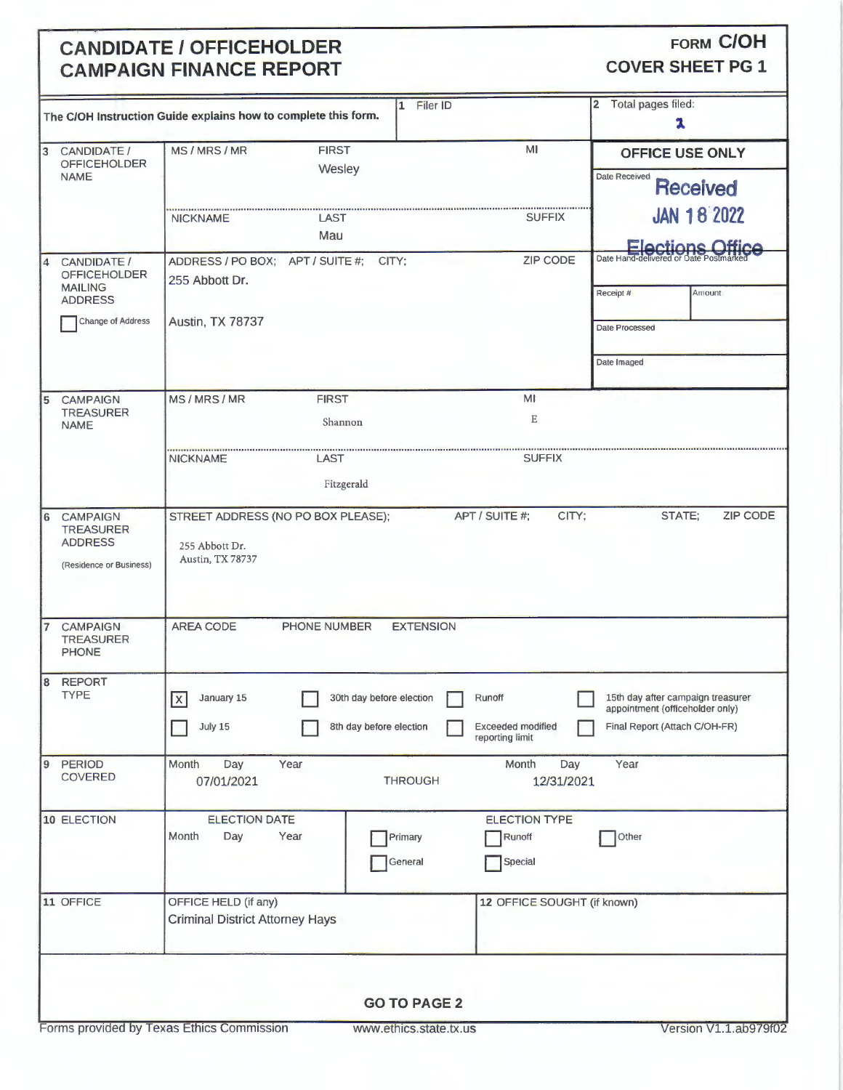## **CANDIDATE / OFFICEHOLDER CAMPAIGN FINANCE REPORT**

FORM C/OH

**COVER SHEET PG 1** 

| 1 Filer ID                                                                                   |                                                                |                                                                                            |                                  |                             |                                                                      |  |  |  |  |  |  |
|----------------------------------------------------------------------------------------------|----------------------------------------------------------------|--------------------------------------------------------------------------------------------|----------------------------------|-----------------------------|----------------------------------------------------------------------|--|--|--|--|--|--|
|                                                                                              | The C/OH Instruction Guide explains how to complete this form. | $\overline{2}$<br>Total pages filed:<br>x                                                  |                                  |                             |                                                                      |  |  |  |  |  |  |
| 3                                                                                            | CANDIDATE /                                                    | MS/MRS/MR                                                                                  | <b>FIRST</b>                     | MI                          | <b>OFFICE USE ONLY</b>                                               |  |  |  |  |  |  |
|                                                                                              | <b>OFFICEHOLDER</b><br><b>NAME</b>                             |                                                                                            | Wesley                           |                             | <b>Date Received</b>                                                 |  |  |  |  |  |  |
|                                                                                              |                                                                |                                                                                            |                                  |                             | <b>Received</b>                                                      |  |  |  |  |  |  |
|                                                                                              |                                                                | <b>NICKNAME</b>                                                                            | LAST                             | <b>SUFFIX</b>               | <b>JAN 18 2022</b>                                                   |  |  |  |  |  |  |
|                                                                                              |                                                                |                                                                                            | Mau                              |                             |                                                                      |  |  |  |  |  |  |
| 14                                                                                           | CANDIDATE /                                                    | ADDRESS / PO BOX; APT / SUITE #;                                                           | CITY:                            | <b>ZIP CODE</b>             | Date Hand-delivered or Date Postmarked                               |  |  |  |  |  |  |
|                                                                                              | <b>OFFICEHOLDER</b>                                            | 255 Abbott Dr.                                                                             |                                  |                             |                                                                      |  |  |  |  |  |  |
|                                                                                              | <b>MAILING</b><br><b>ADDRESS</b>                               |                                                                                            |                                  |                             | Amount<br>Receipt #                                                  |  |  |  |  |  |  |
|                                                                                              | Change of Address                                              | <b>Austin, TX 78737</b>                                                                    |                                  |                             |                                                                      |  |  |  |  |  |  |
|                                                                                              |                                                                |                                                                                            |                                  |                             | Date Processed                                                       |  |  |  |  |  |  |
|                                                                                              |                                                                |                                                                                            |                                  |                             |                                                                      |  |  |  |  |  |  |
|                                                                                              |                                                                |                                                                                            |                                  |                             | Date Imaged                                                          |  |  |  |  |  |  |
| 5                                                                                            | <b>CAMPAIGN</b>                                                | MS/MRS/MR                                                                                  | <b>FIRST</b>                     | MI                          |                                                                      |  |  |  |  |  |  |
|                                                                                              | <b>TREASURER</b>                                               |                                                                                            | Shannon                          | $\mathbf E$                 |                                                                      |  |  |  |  |  |  |
|                                                                                              | <b>NAME</b>                                                    |                                                                                            |                                  |                             |                                                                      |  |  |  |  |  |  |
|                                                                                              |                                                                | <b>NICKNAME</b>                                                                            | <b>LAST</b>                      | <b>SUFFIX</b>               |                                                                      |  |  |  |  |  |  |
|                                                                                              |                                                                |                                                                                            | Fitzgerald                       |                             |                                                                      |  |  |  |  |  |  |
|                                                                                              |                                                                |                                                                                            |                                  |                             |                                                                      |  |  |  |  |  |  |
| $\overline{6}$                                                                               | <b>CAMPAIGN</b>                                                | APT / SUITE #;<br>CITY;<br><b>ZIP CODE</b><br>STREET ADDRESS (NO PO BOX PLEASE);<br>STATE; |                                  |                             |                                                                      |  |  |  |  |  |  |
|                                                                                              | <b>TREASURER</b><br><b>ADDRESS</b>                             |                                                                                            |                                  |                             |                                                                      |  |  |  |  |  |  |
|                                                                                              |                                                                | 255 Abbott Dr.<br>Austin, TX 78737                                                         |                                  |                             |                                                                      |  |  |  |  |  |  |
|                                                                                              | (Residence or Business)                                        |                                                                                            |                                  |                             |                                                                      |  |  |  |  |  |  |
|                                                                                              |                                                                |                                                                                            |                                  |                             |                                                                      |  |  |  |  |  |  |
|                                                                                              |                                                                |                                                                                            |                                  |                             |                                                                      |  |  |  |  |  |  |
|                                                                                              | <b>CAMPAIGN</b>                                                | <b>AREA CODE</b>                                                                           | PHONE NUMBER<br><b>EXTENSION</b> |                             |                                                                      |  |  |  |  |  |  |
|                                                                                              | <b>TREASURER</b><br><b>PHONE</b>                               |                                                                                            |                                  |                             |                                                                      |  |  |  |  |  |  |
|                                                                                              |                                                                |                                                                                            |                                  |                             |                                                                      |  |  |  |  |  |  |
| l8                                                                                           | <b>REPORT</b><br><b>TYPE</b>                                   |                                                                                            |                                  |                             |                                                                      |  |  |  |  |  |  |
|                                                                                              |                                                                | January 15<br>$\vert x \vert$                                                              | 30th day before election         | Runoff                      | 15th day after campaign treasurer<br>appointment (officeholder only) |  |  |  |  |  |  |
|                                                                                              |                                                                | July 15                                                                                    | 8th day before election          | <b>Exceeded modified</b>    | Final Report (Attach C/OH-FR)                                        |  |  |  |  |  |  |
|                                                                                              |                                                                |                                                                                            |                                  | reporting limit             |                                                                      |  |  |  |  |  |  |
| $\vert$ 9                                                                                    | <b>PERIOD</b>                                                  | Month<br>Day<br>Year                                                                       |                                  | Month<br>Day                | Year                                                                 |  |  |  |  |  |  |
|                                                                                              | <b>COVERED</b>                                                 | 07/01/2021                                                                                 | <b>THROUGH</b>                   | 12/31/2021                  |                                                                      |  |  |  |  |  |  |
|                                                                                              |                                                                |                                                                                            |                                  |                             |                                                                      |  |  |  |  |  |  |
|                                                                                              | 10 ELECTION                                                    | <b>ELECTION DATE</b>                                                                       |                                  | <b>ELECTION TYPE</b>        |                                                                      |  |  |  |  |  |  |
|                                                                                              |                                                                | Year<br>Month<br>Day                                                                       | Primary                          | Runoff                      | Other                                                                |  |  |  |  |  |  |
|                                                                                              |                                                                |                                                                                            | General                          | Special                     |                                                                      |  |  |  |  |  |  |
|                                                                                              |                                                                |                                                                                            |                                  |                             |                                                                      |  |  |  |  |  |  |
|                                                                                              | 11 OFFICE                                                      | OFFICE HELD (if any)                                                                       |                                  | 12 OFFICE SOUGHT (if known) |                                                                      |  |  |  |  |  |  |
|                                                                                              |                                                                | <b>Criminal District Attorney Hays</b>                                                     |                                  |                             |                                                                      |  |  |  |  |  |  |
|                                                                                              |                                                                |                                                                                            |                                  |                             |                                                                      |  |  |  |  |  |  |
|                                                                                              |                                                                |                                                                                            |                                  |                             |                                                                      |  |  |  |  |  |  |
|                                                                                              |                                                                |                                                                                            |                                  |                             |                                                                      |  |  |  |  |  |  |
| <b>GO TO PAGE 2</b>                                                                          |                                                                |                                                                                            |                                  |                             |                                                                      |  |  |  |  |  |  |
|                                                                                              |                                                                |                                                                                            |                                  |                             |                                                                      |  |  |  |  |  |  |
| Forms provided by Texas Ethics Commission<br>www.ethics.state.tx.us<br>Version V1.1.ab979f02 |                                                                |                                                                                            |                                  |                             |                                                                      |  |  |  |  |  |  |